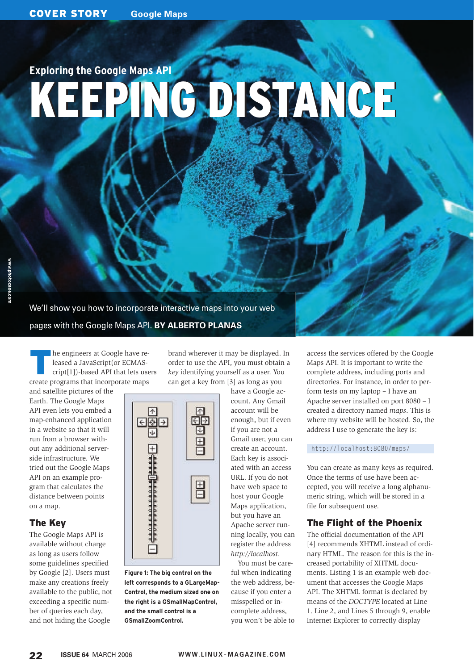# KEEPING DISTANCE KEEPING DISTANCE **Exploring the Google Maps API**

We'll show you how to incorporate interactive maps into your web pages with the Google Maps API. **BY ALBERTO PLANAS**

 $\uparrow$ 

日图日

 $\overline{\mathbf{v}}$ 

E

**Figure 1: The big control on the left corresponds to a GLargeMap-Control, the medium sized one on the right is a GSmallMapControl, and the small control is a GSmallZoomControl.**

The engineers at Google have released a JavaScript(or ECMAScript[1])-based API that lets users create programs that incorporate maps

and satellite pictures of the Earth. The Google Maps API even lets you embed a map-enhanced application in a website so that it will run from a browser without any additional serverside infrastructure. We tried out the Google Maps API on an example program that calculates the distance between points on a map.

## The Key

The Google Maps API is available without charge as long as users follow some guidelines specified by Google [2]. Users must make any creations freely available to the public, not exceeding a specific number of queries each day, and not hiding the Google

brand wherever it may be displayed. In order to use the API, you must obtain a *key* identifying yourself as a user. You can get a key from [3] as long as you

> 不 ΘŌ

 $\overline{\mathbb{U}}$ 

目

昌

have a Google account. Any Gmail account will be enough, but if even if you are not a Gmail user, you can create an account. Each key is associated with an access URL. If you do not have web space to host your Google Maps application, but you have an Apache server running locally, you can register the address *http://localhost*.

You must be careful when indicating the web address, because if you enter a misspelled or incomplete address, you won't be able to access the services offered by the Google Maps API. It is important to write the complete address, including ports and directories. For instance, in order to perform tests on my laptop – I have an Apache server installed on port 8080 – I created a directory named *maps*. This is where my website will be hosted. So, the address I use to generate the key is:

#### http://localhost:8080/maps/

You can create as many keys as required. Once the terms of use have been accepted, you will receive a long alphanumeric string, which will be stored in a file for subsequent use.

# The Flight of the Phoenix

The official documentation of the API [4] recommends XHTML instead of ordinary HTML. The reason for this is the increased portability of XHTML documents. Listing 1 is an example web document that accesses the Google Maps API. The XHTML format is declared by means of the *DOCTYPE* located at Line 1. Line 2, and Lines 5 through 9, enable Internet Explorer to correctly display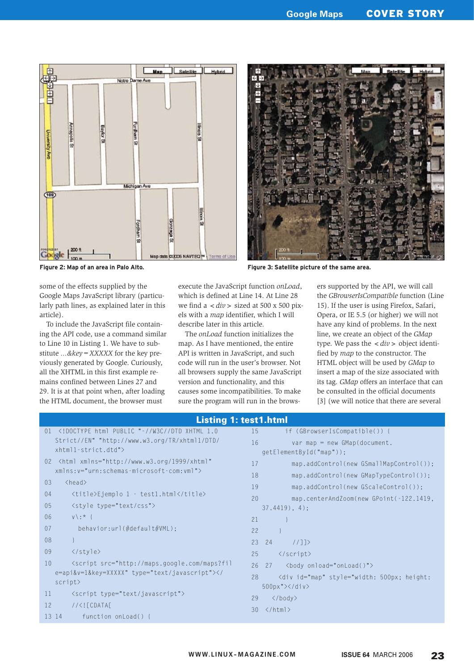



**Figure 2: Map of an area in Palo Alto. Figure 3: Satellite picture of the same area.**

some of the effects supplied by the Google Maps JavaScript library (particularly path lines, as explained later in this article).

To include the JavaScript file containing the API code, use a command similar to Line 10 in Listing 1. We have to substitute *...&key=XXXXX* for the key previously generated by Google. Curiously, all the XHTML in this first example remains confined between Lines 27 and 29. It is at that point when, after loading the HTML document, the browser must

execute the JavaScript function *onLoad*, which is defined at Line 14. At Line 28 we find a *<div>* sized at 500 x 500 pixels with a *map* identifier, which I will describe later in this article.

The *onLoad* function initializes the map. As I have mentioned, the entire API is written in JavaScript, and such code will run in the user's browser. Not all browsers supply the same JavaScript version and functionality, and this causes some incompatibilities. To make sure the program will run in the browsers supported by the API, we will call the *GBrowserIsCompatible* function (Line 15). If the user is using Firefox, Safari, Opera, or IE 5.5 (or higher) we will not have any kind of problems. In the next line, we create an object of the *GMap* type. We pass the  $\langle div \rangle$  object identified by *map* to the constructor. The HTML object will be used by *GMap* to insert a map of the size associated with its tag. *GMap* offers an interface that can be consulted in the official documents [3] (we will notice that there are several

| <b>Listing 1: test1.html</b> |                                                                                                                         |                                               |  |  |  |  |  |  |  |
|------------------------------|-------------------------------------------------------------------------------------------------------------------------|-----------------------------------------------|--|--|--|--|--|--|--|
| 01                           | html PUBLIC "-//W3C//DTD XHTML 1.0</td <td>15<br/>if (GBrowserIsCompatible()) {</td>                                    | 15<br>if (GBrowserIsCompatible()) {           |  |  |  |  |  |  |  |
|                              | Strict//EN" "http://www.w3.org/TR/xhtml1/DTD/                                                                           | 16<br>$var$ map = new GMap(document.          |  |  |  |  |  |  |  |
|                              | $x$ htmll-strict.dtd">                                                                                                  | getElementById("map"));                       |  |  |  |  |  |  |  |
|                              | 02 <html <="" td="" xmlns="http://www.w3.org/1999/xhtml"><td>17<br/>map.addControl(new GSmallMapControl());</td></html> | 17<br>map.addControl(new GSmallMapControl()); |  |  |  |  |  |  |  |
|                              | $xmlns: v="urn: schemes = microsoft-com:vm1"$                                                                           | 18<br>map.addControl(new GMapTypeControl());  |  |  |  |  |  |  |  |
| 03                           | $<$ head $>$                                                                                                            | 19<br>map.addControl(new GScaleControl());    |  |  |  |  |  |  |  |
| 04                           | <title>Ejemplo 1 - test1.html</title>                                                                                   | 20<br>map.centerAndZoom(new GPoint(-122.1419, |  |  |  |  |  |  |  |
| 05                           | <style type="text/css"></style>                                                                                         |                                               |  |  |  |  |  |  |  |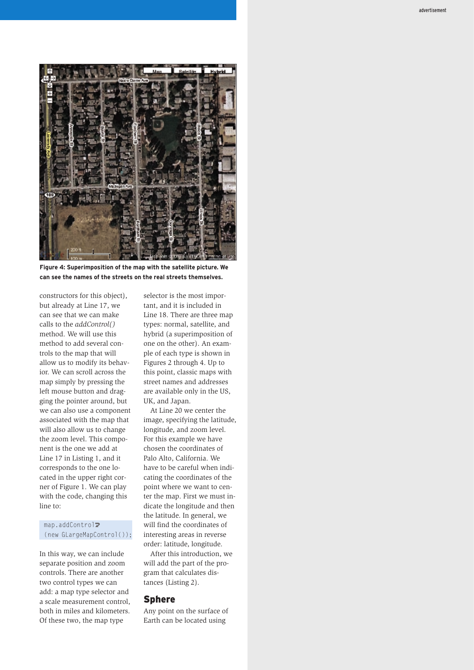

**Figure 4: Superimposition of the map with the satellite picture. We can see the names of the streets on the real streets themselves.**

constructors for this object), but already at Line 17, we can see that we can make calls to the *addControl()* method. We will use this method to add several controls to the map that will allow us to modify its behavior. We can scroll across the map simply by pressing the left mouse button and dragging the pointer around, but we can also use a component associated with the map that will also allow us to change the zoom level. This component is the one we add at Line 17 in Listing 1, and it corresponds to the one located in the upper right corner of Figure 1. We can play with the code, changing this line to:

#### map.addControl<sub>2</sub> (new GLargeMapControl());

In this way, we can include separate position and zoom controls. There are another two control types we can add: a map type selector and a scale measurement control, both in miles and kilometers. Of these two, the map type

selector is the most important, and it is included in Line 18. There are three map types: normal, satellite, and hybrid (a superimposition of one on the other). An example of each type is shown in Figures 2 through 4. Up to this point, classic maps with street names and addresses are available only in the US, UK, and Japan.

At Line 20 we center the image, specifying the latitude, longitude, and zoom level. For this example we have chosen the coordinates of Palo Alto, California. We have to be careful when indicating the coordinates of the point where we want to center the map. First we must indicate the longitude and then the latitude. In general, we will find the coordinates of interesting areas in reverse order: latitude, longitude.

After this introduction, we will add the part of the program that calculates distances (Listing 2).

#### Sphere

Any point on the surface of Earth can be located using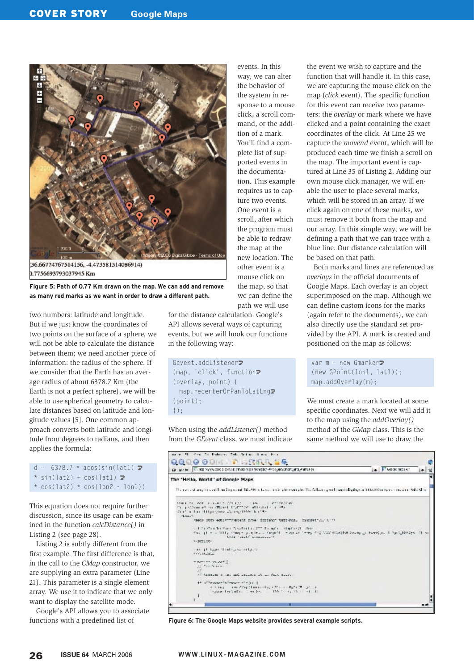

0.7756693793037945 Km

**Figure 5: Path of 0.77 Km drawn on the map. We can add and remove as many red marks as we want in order to draw a different path.**

two numbers: latitude and longitude. But if we just know the coordinates of two points on the surface of a sphere, we will not be able to calculate the distance between them; we need another piece of information: the radius of the sphere. If we consider that the Earth has an average radius of about 6378.7 Km (the Earth is not a perfect sphere), we will be able to use spherical geometry to calculate distances based on latitude and longitude values [5]. One common approach converts both latitude and longitude from degrees to radians, and then applies the formula:

 $d = 6378.7 * a\cos(\sin(\frac{\pi}{d}))$  $*$  sin(lat2) + cos(lat1)  $\triangleright$ 

 $*$  cos(lat2)  $*$  cos(lon2 - lon1))

This equation does not require further discussion, since its usage can be examined in the function *calcDistance()* in Listing 2 (see page 28).

Listing 2 is subtly different from the first example. The first difference is that, in the call to the *GMap* constructor, we are supplying an extra parameter (Line 21). This parameter is a single element array. We use it to indicate that we only want to display the satellite mode.

Google's API allows you to associate functions with a predefined list of

events. In this way, we can alter the behavior of the system in response to a mouse click, a scroll command, or the addition of a mark. You'll find a complete list of supported events in the documentation. This example requires us to capture two events. One event is a scroll, after which the program must be able to redraw the map at the new location. The other event is a mouse click on the map, so that we can define the path we will use

for the distance calculation. Google's API allows several ways of capturing events, but we will hook our functions in the following way:

Gevent.addListener<sub>2</sub> (map, 'click', function $\overline{Z}$ (overlay, point) { map.recenterOrPanToLatLng2 (point); });

When using the *addListener()* method from the *GEvent* class, we must indicate the event we wish to capture and the function that will handle it. In this case, we are capturing the mouse click on the map (*click* event). The specific function for this event can receive two parameters: the *overlay* or mark where we have clicked and a point containing the exact coordinates of the click. At Line 25 we capture the *movend* event, which will be produced each time we finish a scroll on the map. The important event is captured at Line 35 of Listing 2. Adding our own mouse click manager, we will enable the user to place several marks, which will be stored in an array. If we click again on one of these marks, we must remove it both from the map and our array. In this simple way, we will be defining a path that we can trace with a blue line. Our distance calculation will be based on that path.

Both marks and lines are referenced as *overlays* in the official documents of Google Maps. Each overlay is an object superimposed on the map. Although we can define custom icons for the marks (again refer to the documents), we can also directly use the standard set provided by the API. A mark is created and positioned on the map as follows:

var  $m = new$  Gmarker $\triangleright$ (new GPoint(lon1, lat1)); map.addOverlay(m);

We must create a mark located at some specific coordinates. Next we will add it to the map using the *addOverlay()* method of the *GMap* class. This is the same method we will use to draw the

|                                                                                                                       | Circuit and Circuit manager cleaned among the transfer and product compared with the state                                                                                                                                                                                                                | . Floore wider<br>۰ |
|-----------------------------------------------------------------------------------------------------------------------|-----------------------------------------------------------------------------------------------------------------------------------------------------------------------------------------------------------------------------------------------------------------------------------------------------------|---------------------|
| The "Hello, World" of Google Maps.                                                                                    |                                                                                                                                                                                                                                                                                                           |                     |
|                                                                                                                       | The rest of any trivent herritograph his AP is have main alreasonable The falses speeds agending by a Maximum control who films                                                                                                                                                                           |                     |
| The problems of the ITOS of International State is and<br>deal in him Hillyin (means), ing 1995; here to<br>$-1.0011$ | there we have a control of the state of the control of the state of the state of the state of the state of the<br>(Bell 2005 educational cree include this (mil. introduction )                                                                                                                           |                     |
| A CONTRACT                                                                                                            | all'estreto Vac Gaztrile 277 fonde chade di che-<br>for it will like the property a global factor of the set of the state of the state state of the set of the set of the set of the set of the set of the set of the set of the set of the set of the set of the set of the set o<br>tree with weapons ? |                     |
| The it like that invitation<br><b>ARTISTICS</b>                                                                       |                                                                                                                                                                                                                                                                                                           |                     |
| magnetic contract work (1)<br>Although the County                                                                     | of themselve in the land standard at the flats hours.                                                                                                                                                                                                                                                     |                     |
| 44 ("Program"s" magazin's (1)                                                                                         | with a restriction of a Channel and the configuration of the<br>the letters in the 199 for the field                                                                                                                                                                                                      |                     |
| ٠                                                                                                                     |                                                                                                                                                                                                                                                                                                           | - -                 |

**Figure 6: The Google Maps website provides several example scripts.**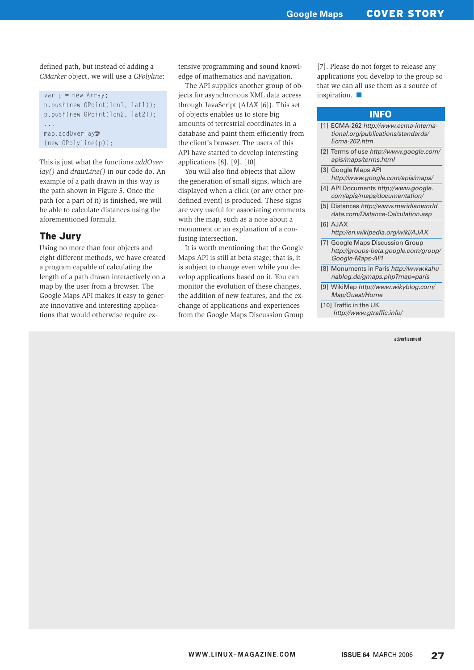defined path, but instead of adding a *GMarker* object, we will use a *GPolyline*:

```
var p = new Array;
p.push(new GPoint(lon1, lat1));
p.push(new GPoint(lon2, lat2));
...
map.addOverlay2
(new GPolyline(p));
```
This is just what the functions *addOverlay()* and *drawLine()* in our code do. An example of a path drawn in this way is the path shown in Figure 5. Once the path (or a part of it) is finished, we will be able to calculate distances using the aforementioned formula.

### The Jury

Using no more than four objects and eight different methods, we have created a program capable of calculating the length of a path drawn interactively on a map by the user from a browser. The Google Maps API makes it easy to generate innovative and interesting applications that would otherwise require extensive programming and sound knowledge of mathematics and navigation.

The API supplies another group of objects for asynchronous XML data access through JavaScript (AJAX [6]). This set of objects enables us to store big amounts of terrestrial coordinates in a database and paint them efficiently from the client's browser. The users of this API have started to develop interesting applications [8], [9], [10].

You will also find objects that allow the generation of small signs, which are displayed when a click (or any other predefined event) is produced. These signs are very useful for associating comments with the map, such as a note about a monument or an explanation of a confusing intersection.

It is worth mentioning that the Google Maps API is still at beta stage; that is, it is subject to change even while you develop applications based on it. You can monitor the evolution of these changes, the addition of new features, and the exchange of applications and experiences from the Google Maps Discussion Group

[7]. Please do not forget to release any applications you develop to the group so that we can all use them as a source of inspiration.

#### INFO

- [1] ECMA-262 http://www.ecma-international.org/publications/standards/ Ecma-262.htm
- [2] Terms of use http://www.google.com/ apis/maps/terms.html
- [3] Google Maps API http://www.google.com/apis/maps/
- [4] API Documents http://www.google. com/apis/maps/documentation/
- [5] Distances http://www.meridianworld data.com/Distance-Calculation.asp
- [6] AJAX
- http://en.wikipedia.org/wiki/AJAX [7] Google Maps Discussion Group
- http://groups-beta.google.com/group/ Google-Maps-API
- [8] Monuments in Paris http://www.kahu nablog.de/gmaps.php?map=paris
- [9] WikiMap http://www.wikyblog.com/ Map/Guest/Home
- [10] Traffic in the UK http://www.gtraffic.info/

advertisement